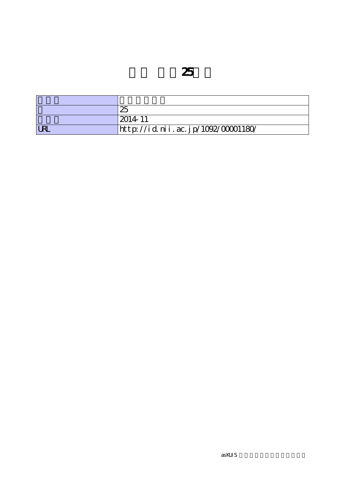|              | 25                                 |
|--------------|------------------------------------|
|              | $2014 - 11$                        |
| $\mathbf{D}$ | http://id.nii.ac.jp/1092/00001180/ |